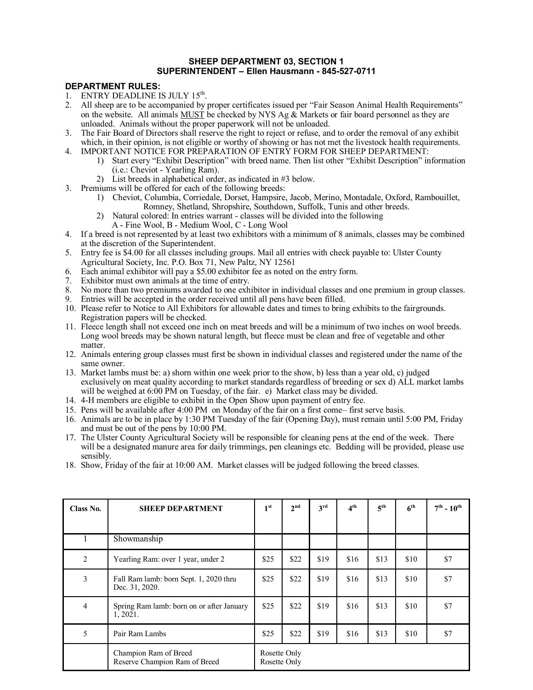## **SHEEP DEPARTMENT 03, SECTION 1 SUPERINTENDENT – Ellen Hausmann - 845-527-0711**

## **DEPARTMENT RULES:**

- 1. ENTRY DEADLINE IS JULY 15<sup>th</sup>.
- 2. All sheep are to be accompanied by proper certificates issued per "Fair Season Animal Health Requirements" on the website. All animals MUST be checked by NYS Ag  $\&$  Markets or fair board personnel as they are unloaded. Animals without the proper paperwork will not be unloaded.
- 3. The Fair Board of Directors shall reserve the right to reject or refuse, and to order the removal of any exhibit which, in their opinion, is not eligible or worthy of showing or has not met the livestock health requirements.
- 4. IMPORTANT NOTICE FOR PREPARATION OF ENTRY FORM FOR SHEEP DEPARTMENT:
	- 1) Start every "Exhibit Description" with breed name. Then list other "Exhibit Description" information (i.e.: Cheviot - Yearling Ram).
	- 2) List breeds in alphabetical order, as indicated in #3 below.
- 3. Premiums will be offered for each of the following breeds:
	- 1) Cheviot, Columbia, Corriedale, Dorset, Hampsire, Jacob, Merino, Montadale, Oxford, Rambouillet, Romney, Shetland, Shropshire, Southdown, Suffolk, Tunis and other breeds.
	- 2) Natural colored: In entries warrant classes will be divided into the following A - Fine Wool, B - Medium Wool, C - Long Wool
- 4. If a breed is not represented by at least two exhibitors with a minimum of 8 animals, classes may be combined at the discretion of the Superintendent.
- 5. Entry fee is \$4.00 for all classes including groups. Mail all entries with check payable to: Ulster County Agricultural Society, Inc. P.O. Box 71, New Paltz, NY 12561
- 6. Each animal exhibitor will pay a \$5.00 exhibitor fee as noted on the entry form.
- 7. Exhibitor must own animals at the time of entry.
- 8. No more than two premiums awarded to one exhibitor in individual classes and one premium in group classes.
- 9. Entries will be accepted in the order received until all pens have been filled.
- 10. Please refer to Notice to All Exhibitors for allowable dates and times to bring exhibits to the fairgrounds. Registration papers will be checked.
- 11. Fleece length shall not exceed one inch on meat breeds and will be a minimum of two inches on wool breeds. Long wool breeds may be shown natural length, but fleece must be clean and free of vegetable and other matter.
- 12. Animals entering group classes must first be shown in individual classes and registered under the name of the same owner.
- 13. Market lambs must be: a) shorn within one week prior to the show, b) less than a year old, c) judged exclusively on meat quality according to market standards regardless of breeding or sex d) ALL market lambs will be weighed at 6:00 PM on Tuesday, of the fair. e) Market class may be divided.
- 14. 4-H members are eligible to exhibit in the Open Show upon payment of entry fee.
- 15. Pens will be available after 4:00 PM on Monday of the fair on a first come– first serve basis.
- 16. Animals are to be in place by 1:30 PM Tuesday of the fair (Opening Day), must remain until 5:00 PM, Friday and must be out of the pens by 10:00 PM.
- 17. The Ulster County Agricultural Society will be responsible for cleaning pens at the end of the week. There will be a designated manure area for daily trimmings, pen cleanings etc. Bedding will be provided, please use sensibly.
- 18. Show, Friday of the fair at 10:00 AM. Market classes will be judged following the breed classes.

| Class No.      | <b>SHEEP DEPARTMENT</b>                                  | 1 <sup>st</sup>              | 2 <sup>nd</sup> | 3 <sup>rd</sup> | 4 <sup>th</sup> | 5 <sup>th</sup> | 6 <sup>th</sup> | $7^{th}$ - $10^{th}$ |  |
|----------------|----------------------------------------------------------|------------------------------|-----------------|-----------------|-----------------|-----------------|-----------------|----------------------|--|
|                |                                                          |                              |                 |                 |                 |                 |                 |                      |  |
|                | Showmanship                                              |                              |                 |                 |                 |                 |                 |                      |  |
| $\overline{2}$ | Yearling Ram: over 1 year, under 2                       | \$25                         | \$22            | \$19            | \$16            | \$13            | \$10            | \$7                  |  |
| 3              | Fall Ram lamb: born Sept. 1, 2020 thru<br>Dec. 31, 2020. | \$25                         | \$22            | \$19            | \$16            | \$13            | \$10            | \$7                  |  |
| 4              | Spring Ram lamb: born on or after January<br>1, 2021.    | \$25                         | \$22            | \$19            | \$16            | \$13            | \$10            | \$7                  |  |
| 5              | Pair Ram Lambs                                           | \$25                         | \$22            | \$19            | \$16            | \$13            | \$10            | \$7                  |  |
|                | Champion Ram of Breed<br>Reserve Champion Ram of Breed   | Rosette Only<br>Rosette Only |                 |                 |                 |                 |                 |                      |  |